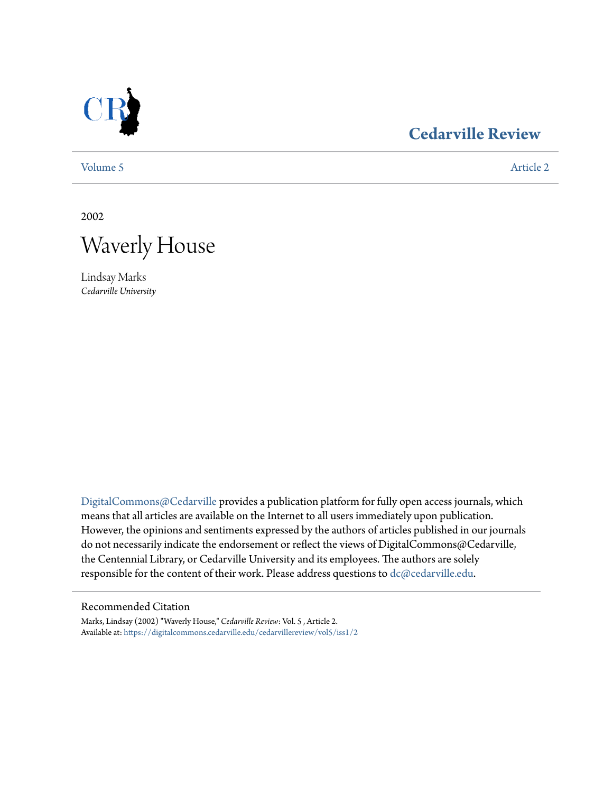

## **[Cedarville Review](https://digitalcommons.cedarville.edu/cedarvillereview?utm_source=digitalcommons.cedarville.edu%2Fcedarvillereview%2Fvol5%2Fiss1%2F2&utm_medium=PDF&utm_campaign=PDFCoverPages)**

[Volume 5](https://digitalcommons.cedarville.edu/cedarvillereview/vol5?utm_source=digitalcommons.cedarville.edu%2Fcedarvillereview%2Fvol5%2Fiss1%2F2&utm_medium=PDF&utm_campaign=PDFCoverPages) [Article 2](https://digitalcommons.cedarville.edu/cedarvillereview/vol5/iss1/2?utm_source=digitalcommons.cedarville.edu%2Fcedarvillereview%2Fvol5%2Fiss1%2F2&utm_medium=PDF&utm_campaign=PDFCoverPages)

2002



Lindsay Marks *Cedarville University*

[DigitalCommons@Cedarville](http://digitalcommons.cedarville.edu) provides a publication platform for fully open access journals, which means that all articles are available on the Internet to all users immediately upon publication. However, the opinions and sentiments expressed by the authors of articles published in our journals do not necessarily indicate the endorsement or reflect the views of DigitalCommons@Cedarville, the Centennial Library, or Cedarville University and its employees. The authors are solely responsible for the content of their work. Please address questions to [dc@cedarville.edu](mailto:dc@cedarville.edu).

#### Recommended Citation

Marks, Lindsay (2002) "Waverly House," *Cedarville Review*: Vol. 5 , Article 2. Available at: [https://digitalcommons.cedarville.edu/cedarvillereview/vol5/iss1/2](https://digitalcommons.cedarville.edu/cedarvillereview/vol5/iss1/2?utm_source=digitalcommons.cedarville.edu%2Fcedarvillereview%2Fvol5%2Fiss1%2F2&utm_medium=PDF&utm_campaign=PDFCoverPages)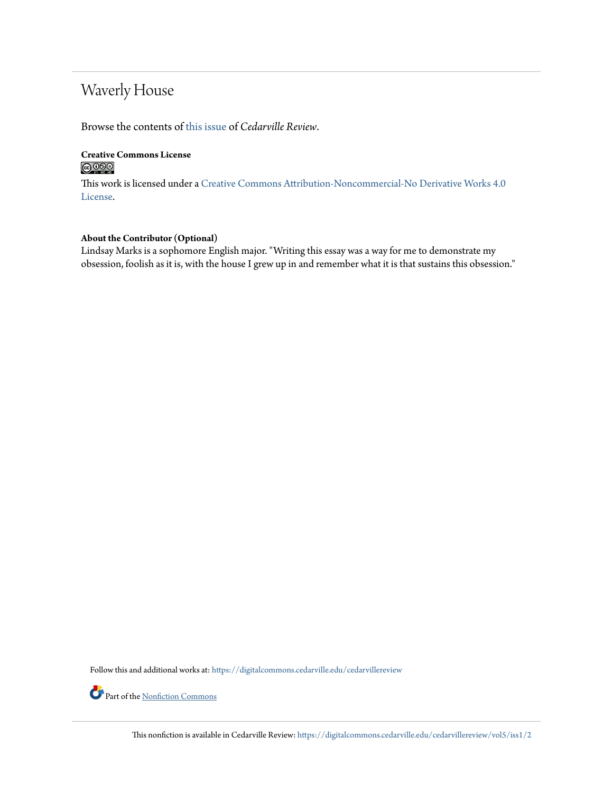# Waverly House

Browse the contents of [this issue](https://digitalcommons.cedarville.edu/cedarvillereview/vol5/iss1) of *Cedarville Review*.

#### **Creative Commons License**  $\bigcirc$   $\circ$

This work is licensed under a [Creative Commons Attribution-Noncommercial-No Derivative Works 4.0](http://creativecommons.org/licenses/by-nc-nd/4.0/) [License.](http://creativecommons.org/licenses/by-nc-nd/4.0/)

#### **About the Contributor (Optional)**

Lindsay Marks is a sophomore English major. "Writing this essay was a way for me to demonstrate my obsession, foolish as it is, with the house I grew up in and remember what it is that sustains this obsession."

Follow this and additional works at: [https://digitalcommons.cedarville.edu/cedarvillereview](https://digitalcommons.cedarville.edu/cedarvillereview?utm_source=digitalcommons.cedarville.edu%2Fcedarvillereview%2Fvol5%2Fiss1%2F2&utm_medium=PDF&utm_campaign=PDFCoverPages)

Part of the <u>[Nonfiction Commons](http://network.bepress.com/hgg/discipline/1152?utm_source=digitalcommons.cedarville.edu%2Fcedarvillereview%2Fvol5%2Fiss1%2F2&utm_medium=PDF&utm_campaign=PDFCoverPages)</u>

This nonfiction is available in Cedarville Review: [https://digitalcommons.cedarville.edu/cedarvillereview/vol5/iss1/2](https://digitalcommons.cedarville.edu/cedarvillereview/vol5/iss1/2?utm_source=digitalcommons.cedarville.edu%2Fcedarvillereview%2Fvol5%2Fiss1%2F2&utm_medium=PDF&utm_campaign=PDFCoverPages)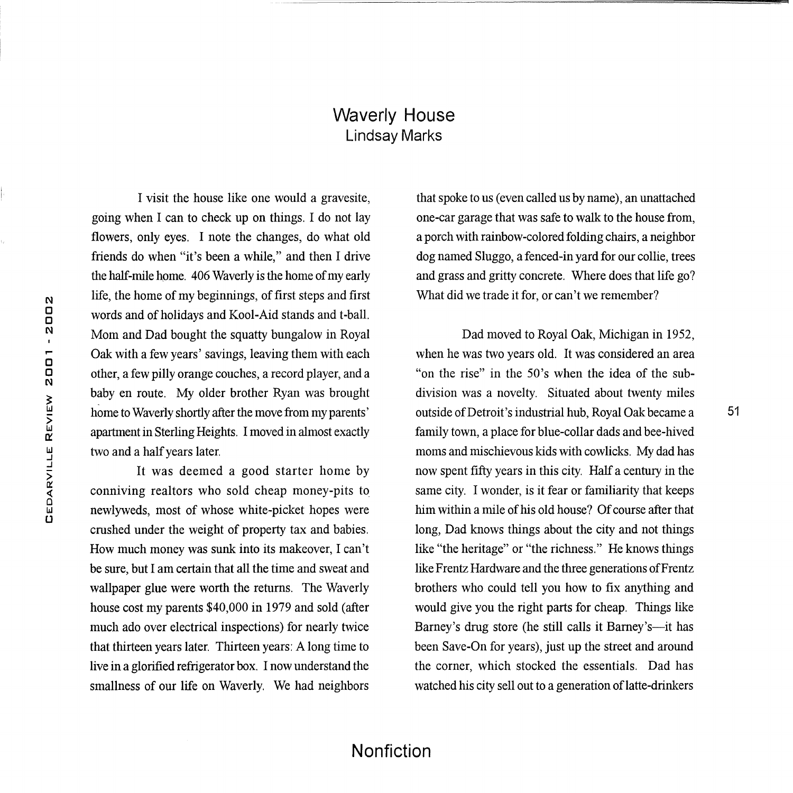### Waverly House Lindsay Marks

I visit the house like one would a gravesite, going when I can to check up on things. I do not lay flowers, only eyes. I note the changes, do what old friends do when "it's been a while," and then I drive the half-mile home. 406 Waverly is the home of my early life, the home of my beginnings, of first steps and first words and of holidays and Kool-Aid stands and t-ball. Mom and Dad bought the squatty bungalow in Royal Oak with a few years' savings, leaving them with each other, a few pilly orange couches, a record player, and a baby en route. My older brother Ryan was brought home to Waverly shortly after the move from my parents' apartment in Sterling Heights. I moved in almost exactly two and a half years later.

It was deemed a good starter home by conniving realtors who sold cheap money-pits to\_ newlyweds, most of whose white-picket hopes were crushed under the weight of property tax and babies. How much money was sunk into its makeover, I can't be sure, but I am certain that all the time and sweat and wallpaper glue were worth the returns. The Waverly house cost my parents \$40,000 in 1979 and sold (after much ado over electrical inspections) for nearly twice that thirteen years later. Thirteen years: A long time to live in a glorified refrigerator box. I now understand the smallness of our life on Waverly. We had neighbors that spoke to us (even called us by name), an unattached one-car garage that was safe to walk to the house from, a porch with rainbow-colored folding chairs, a neighbor dog named Sluggo, a fenced-in yard for our collie, trees and grass and gritty concrete. Where does that life go? What did we trade it for, or can't we remember?

Dad moved to Royal Oak, Michigan in 1952, when he was two years old. It was considered an area "on the rise" in the 50's when the idea of the subdivision was a novelty. Situated about twenty miles outside of Detroit's industrial hub, Royal Oak became a family town, a place for blue-collar dads and bee-hived moms and mischievous kids with cowlicks. My dad has now spent fifty years in this city. Half a century in the same city. I wonder, is it fear or familiarity that keeps him within a mile of his old house? Of course after that long, Dad knows things about the city and not things like "the heritage" or "the richness." He knows things like Frentz Hardware and the three generations of Frentz brothers who could tell you how to fix anything and would give you the right parts for cheap. Things like Barney's drug store (he still calls it Barney's-it has been Save-On for years), just up the street and around the corner, which stocked the essentials. Dad has watched his city sell out to a generation of latte-drinkers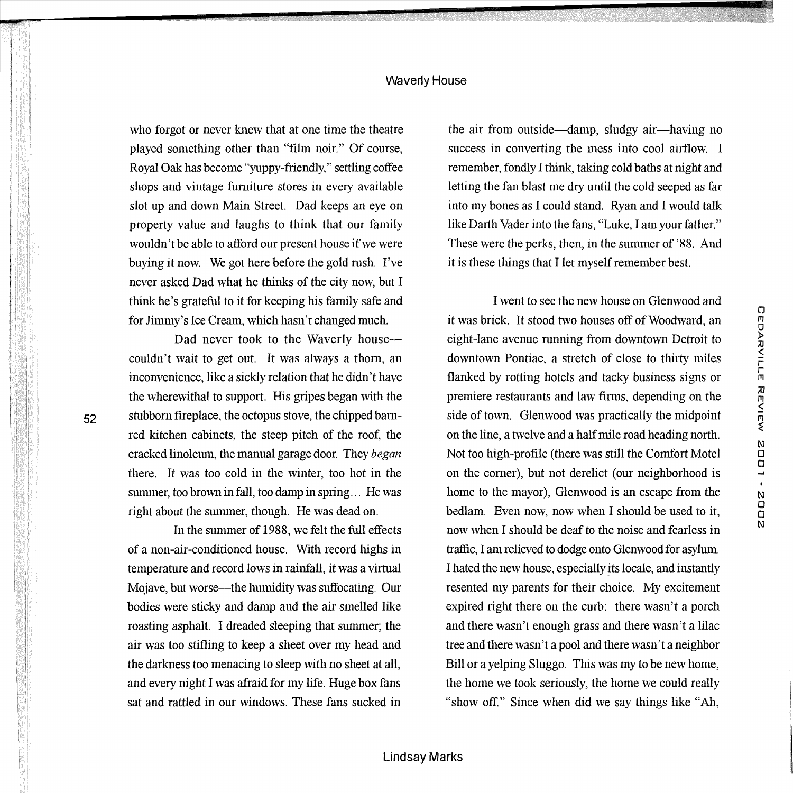#### Waverly House

who forgot or never knew that at one time the theatre played something other than "film noir." Of course, Royal Oak has become "yuppy-friendly," settling coffee shops and vintage furniture stores in every available slot up and down Main Street. Dad keeps an eye on property value and laughs to think that our family wouldn't be able to afford our present house if we were buying it now. We got here before the gold rush. I've never asked Dad what he thinks of the city now, but I think he's grateful to it for keeping his family safe and for Jimmy's Ice Cream, which hasn't changed much.

Dad never took to the Waverly housecouldn't wait to get out. It was always a thorn, an inconvenience, like a sickly relation that he didn't have the wherewithal to support. His gripes began with the stubborn fireplace, the octopus stove, the chipped barnred kitchen cabinets, the steep pitch of the roof, the cracked linoleum, the manual garage door. They *began*  there. It was too cold in the winter, too hot in the summer, too brown in fall, too damp in spring... He was right about the summer, though. He was dead on.

52

In the summer of 1988, we felt the full effects of a non-air-conditioned house. With record highs in temperature and record lows in rainfall, it was a virtual Mojave, but worse—the humidity was suffocating. Our bodies were sticky and damp and the air smelled like roasting asphalt. I dreaded sleeping that summer; the air was too stifling to keep a sheet over my head and the darkness too menacing to sleep with no sheet at all, and every night I was afraid for my life. Huge box fans sat and rattled in our windows. These fans sucked in

the air from outside-damp, sludgy air-having no success in converting the mess into cool airflow. I remember, fondly I think, taking cold baths at night and letting the fan blast me dry until the cold seeped as far into my bones as I could stand. Ryan and I would talk like Darth Vader into the fans, "Luke, I am your father." These were the perks, then, in the summer of '88. And it is these things that I let myself remember best.

I went to see the new house on Glenwood and it was brick. It stood two houses off of Woodward, an eight-lane avenue running from downtown Detroit to downtown Pontiac, a stretch of close to thirty miles flanked by rotting hotels and tacky business signs or premiere restaurants and law firms, depending on the side of town. Glenwood was practically the midpoint on the line, a twelve and a half mile road heading north. Not too high-profile (there was still the Comfort Motel on the corner), but not derelict (our neighborhood is home to the mayor), Glenwood is an escape from the bedlam. Even now, now when I should be used to it, now when I should be deaf to the noise and fearless in traffic, I am relieved to dodge onto Glenwood for asylum. I hated the new house, especially *!ts* locale, and instantly resented my parents for their choice. My excitement expired right there on the curb: there wasn't a porch and there wasn't enough grass and there wasn't a lilac tree and there wasn't a pool and there wasn't a neighbor Bill or a yelping Sluggo. This was my to be new home, the home we took seriously, the home we could really "show off." Since when did we say things like "Ah,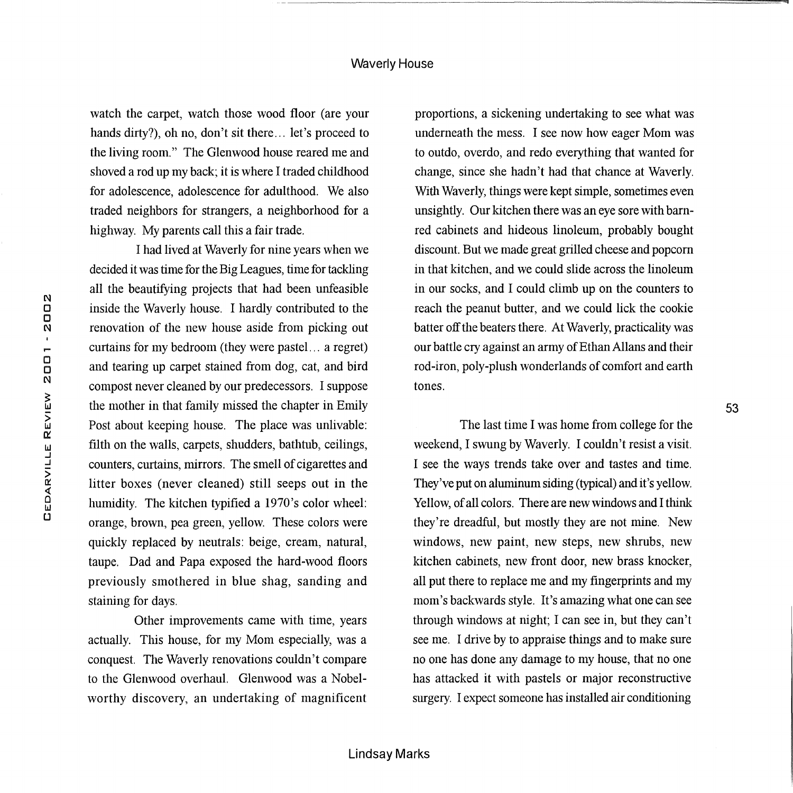watch the carpet, watch those wood floor (are your hands dirty?), oh no, don't sit there ... let's proceed to the living room." The Glenwood house reared me and shoved a rod up my back; it is where I traded childhood for adolescence, adolescence for adulthood. We also traded neighbors for strangers, a neighborhood for a highway. My parents call this a fair trade.

I had lived at Waverly for nine years when we decided it was time for the Big Leagues, time for tackling all the beautifying projects that had been unfeasible inside the Waverly house. I hardly contributed to the renovation of the new house aside from picking out curtains for my bedroom (they were pastel. .. a regret) and tearing up carpet stained from dog, cat, and bird compost never cleaned by our predecessors. I suppose the mother in that family missed the chapter in Emily Post about keeping house. The place was unlivable: filth on the walls, carpets, shudders, bathtub, ceilings, counters, curtains, mirrors. The smell of cigarettes and litter boxes (never cleaned) still seeps out in the humidity. The kitchen typified a 1970's color wheel: orange, brown, pea green, yellow. These colors were quickly replaced by neutrals: beige, cream, natural, taupe. Dad and Papa exposed the hard-wood floors previously smothered in blue shag, sanding and staining for days.

Other improvements came with time, years actually. This house, for my Mom especially, was a conquest. The Waverly renovations couldn't compare to the Glenwood overhaul. Glenwood was a Nobelworthy discovery, an undertaking of magnificent

proportions, a sickening undertaking to see what was underneath the mess. I see now how eager Mom was to outdo, overdo, and redo everything that wanted for change, since she hadn't had that chance at Waverly. With Waverly, things were kept simple, sometimes even unsightly. Our kitchen there was an eye sore with barnred cabinets and hideous linoleum, probably bought discount. But we made great grilled cheese and popcorn in that kitchen, and we could slide across the linoleum in our socks, and I could climb up on the counters to reach the peanut butter, and we could lick the cookie batter off the beaters there. At Waverly, practicality was our battle cry against an army of Ethan Allans and their rod-iron, poly-plush wonderlands of comfort and earth tones.

53

The last time I was home from college for the weekend, I swung by Waverly. I couldn't resist a visit. I see the ways trends take over and tastes and time. They've put on aluminum siding (typical) and it's yellow. Yellow, of all colors. There are new windows and I think they're dreadful, but mostly they are not mine. New windows, new paint, new steps, new shrubs, new kitchen cabinets, new front door, new brass knocker, all put there to replace me and my fingerprints and my mom's backwards style. It's amazing what one can see through windows at night; I can see in, but they can't see me. I drive by to appraise things and to make sure no one has done any damage to my house, that no one has attacked it with pastels or major reconstructive surgery. I expect someone has installed air conditioning